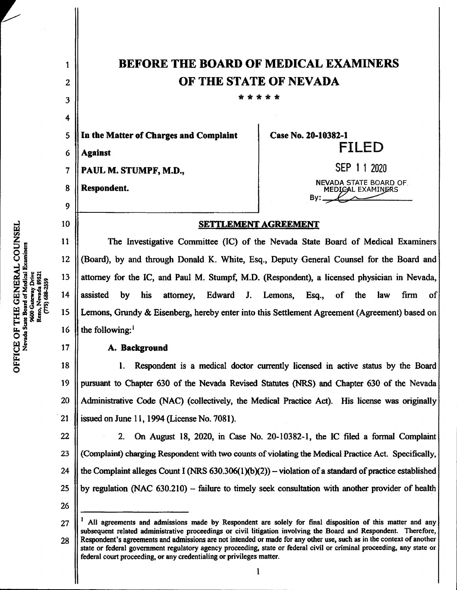| 1              | <b>BEFORE THE BOARD OF MEDICAL EXAMINERS</b>                                                 |                                                    |
|----------------|----------------------------------------------------------------------------------------------|----------------------------------------------------|
| $\overline{2}$ | OF THE STATE OF NEVADA                                                                       |                                                    |
| 3              | * * * *                                                                                      |                                                    |
| 4              |                                                                                              |                                                    |
| 5              | In the Matter of Charges and Complaint                                                       | Case No. 20-10382-1                                |
| 6              | <b>Against</b>                                                                               | <b>FILED</b>                                       |
| 7              | PAUL M. STUMPF, M.D.,                                                                        | SEP 1 1 2020                                       |
| 8              | Respondent.                                                                                  | <b>NEVADA STATE BOARD OF.</b><br>MEDICAL EXAMINERS |
| 9              |                                                                                              | By:                                                |
| 10             | <b>SETTLEMENT AGREEMENT</b>                                                                  |                                                    |
| 11             | The Investigative Committee (IC) of the Nevada State Board of Medical Examiners              |                                                    |
| 12             | (Board), by and through Donald K. White, Esq., Deputy General Counsel for the Board and      |                                                    |
| 13             | attorney for the IC, and Paul M. Stumpf, M.D. (Respondent), a licensed physician in Nevada,  |                                                    |
| 14             | assisted<br>attorney, Edward J. Lemons, Esq.,<br>by<br>his                                   | law<br>firm<br>of<br>the<br>of                     |
| 15             | Lemons, Grundy & Eisenberg, hereby enter into this Settlement Agreement (Agreement) based on |                                                    |
| 16             | the following: <sup>1</sup>                                                                  |                                                    |
| 17             | A. Background                                                                                |                                                    |

A. Background

1.Respondent is <sup>a</sup> medical doctor currently licensed in active status by die Board pursuant to Chapter 630 of the Nevada Revised Statutes (NRS) and Chapter 630 of the Nevada Administrative Code (NAC) (collectively, die Medical Practice Act). His license was originally issued on June 11, 1994 (License No. 7081). 18 19 20 21

2.On August 18, 2020, in Case No. 20-10382-1, the IC filed <sup>a</sup> formal Complaint (Complaint) charging Respondent with two counts of violating the Medical Practice Act. Specifically, the Complaint alleges Count I (NRS  $630.306(1)(b)(2)$ ) – violation of a standard of practice established by regulation (NAC  $630.210$ ) – failure to timely seek consultation with another provider of health 22 23 24 25

All agreements and admissions made by Respondent are solely for final disposition of this matter and any subsequent related administrative proceedings or civil litigation involving the Board and Respondent. Therefore, Respondent's agreements and admissions are not intended or made for any other use, such as in the context of another state or federal government regulatory agency proceeding, state or federal civil or criminal proceeding, any state or federal court proceeding, or any credentialing or privileges matter. 27 28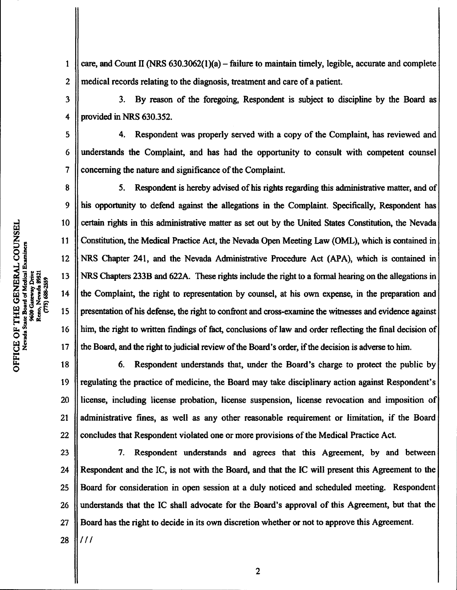care, and Count II (NRS  $630.3062(1)(a)$  – failure to maintain timely, legible, accurate and complete medical records relating to the diagnosis, treatment and care of a patient. 1 2

3. By reason of the foregoing, Respondent is subject to discipline by the Board as provided in NRS 630.352. 3 4

4. Respondent was properly served with a copy of the Complaint, has reviewed and understands the Complaint, and has had the opportunity to consult with competent counsel concerning the nature and significance of the Complaint.

5. Respondent is hereby advised of his rights regarding this administrative matter, and of his opportunity to defend against the allegations in the Complaint. Specifically, Respondent has certain rights in this administrative matter as set out by the United States Constitution, the Nevada Constitution, the Medical Practice Act, the Nevada Open Meeting Law (OML), which is contained in NRS Chapter 241, and the Nevada Administrative Procedure Act (APA), which is contained in NRS Chapters 233B and 622A. These rights include the right to a formal hearing on the allegations in the Complaint, the right to representation by counsel, at his own expense, in die preparation and presentation of his defense, the right to confront and cross-examine the witnesses and evidence against him, the right to written findings of fact, conclusions of law and order reflecting the final decision of the Board, and the right to judicial review of the Board's order, if the decision is adverse to him.

6.Respondent understands that, under the Board's charge to protect the public by regulating the practice of medicine, the Board may take disciplinary action against Respondent's license, including license probation, license suspension, license revocation and imposition of administrative fines, as well as any other reasonable requirement or limitation, if the Board concludes that Respondent violated one or more provisions of the Medical Practice Act. 18 19 20 21 22

7.Respondent understands and agrees that this Agreement, by and between Respondent and the IC, is not with the Board, and that the IC will present this Agreement to the Board for consideration in open session at a duly noticed and scheduled meeting. Respondent understands that the IC shall advocate for the Board's approval of this Agreement, but that the Board has the right to decide in its own discretion whether or not to approve this Agreement. 23 24 25 26 27

ပ္မ

5

6

7

8

9

10

11

12

13

 $14$ 

15

16

17

28

 $111$ 

 $\overline{2}$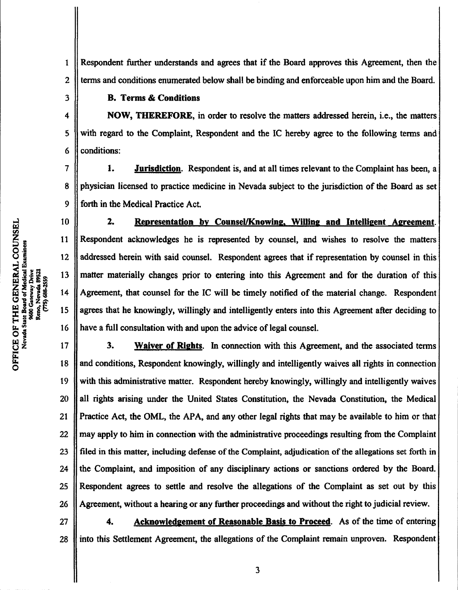Respondent further understands and agrees that if the Board approves this Agreement, then the terms and conditions enumerated below shall be binding and enforceable upon him and the Board. 1 2

## B. Terms&Conditions

NOW, THEREFORE, in order to resolve the matters addressed herein, i.e., the matters with regard to the Complaint, Respondent and the IC hereby agree to the following terms and conditions:

1. Jurisdiction. Respondent is, and at all times relevant to the Complaint has been, a physician licensed to practice medicine in Nevada subject to the jurisdiction of the Board as set forth in the Medical Practice Act.

2. Representation by Counsel/Knowing, Willing and Intelligent Agreement. Respondent acknowledges he is represented by counsel, and wishes to resolve the matters addressed herein with said counsel. Respondent agrees that if representation by counsel in this matter materially changes prior to entering into this Agreement and for the duration of this Agreement, that counsel for the IC will be timely notified of the material change. Respondent agrees that he knowingly, willingly and intelligently enters into this Agreement after deciding to have a full consultation with and upon the advice of legal counsel.

3. Waiver of Rights. In connection with this Agreement, and the associated terms and conditions, Respondent knowingly, willingly and intelligently waives all rights in connection with this administrative matter. Respondent hereby knowingly, willingly and intelligently waives all rights arising under the United States Constitution, the Nevada Constitution, the Medical Practice Act, the OML, the APA, and any other legal rights that may be available to him or that may apply to him in connection with the administrative proceedings resulting from the Complaint filed in this matter, including defense of the Complaint, adjudication of the allegations set forth in the Complaint, and imposition of any disciplinary actions or sanctions ordered by the Board. Respondent agrees to settle and resolve the allegations of the Complaint as set out by this Agreement, without a hearing or any further proceedings and without the right to judicial review. dent agrees to settle and resolve the altegations of the Complaint as set out by this<br>hent, without a hearing or any further proceedings and without the right to judicial review.<br>4. Acknowledgement of Reasonable Basis to P 17 18 19 20 21 22 23 24 25 26

into this Settlement Agreement, the allegations of the Complaint remain unproven. Respondent 27 28

ft, O

ffl CA

3

4

5

6

7

8

9

10

11

12

13

14

15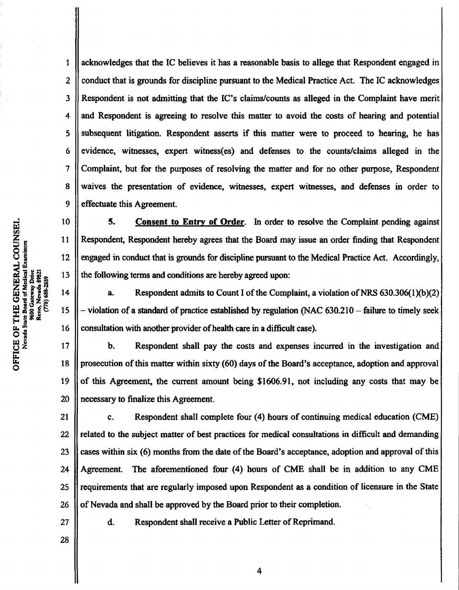acknowledges that the IC believes it has a reasonable basis to allege that Respondent engaged in conduct that is grounds for discipline pursuant to the Medical Practice Act. The IC acknowledges Respondent is not admitting that the IC's claims/counts as alleged in the Complaint have merit and Respondent is agreeing to resolve this matter to avoid the costs of hearing and potential subsequent litigation. Respondent asserts if this matter were to proceed to hearing, he has evidence, witnesses, expert witness(es) and defenses to the counts/claims alleged in the Complaint, but for the purposes of resolving the matter and for no other purpose, Respondent waives the presentation of evidence, witnesses, expert witnesses, and defenses in order to effectuate this Agreement. 1 2 3 4 5 6 7 8 9

10 11 স্ 12 Medical E<br>ay Drive<br>4- oce 31 13 (775) 688-2559 14 15 16

5. Consent to Entry of Order. In order to resolve the Complaint pending against Respondent, Respondent hereby agrees that the Board may issue an order finding that Respondent engaged in conduct that is grounds for discipline pursuant to the Medical Practice Act. Accordingly, the following terms and conditions are hereby agreed upon:

a. Respondent admits to Count I of the Complaint, a violation of NRS  $630.306(1)(b)(2)$  $-$  violation of a standard of practice established by regulation (NAC 630.210  $-$  failure to timely seek consultation with another provider of health care in a difficult case).

b. Respondent shall pay the costs and expenses incurred in the investigation and prosecution of this matter within sixty (60) days of the Board's acceptance, adoption and approval of this Agreement, the current amount being \$1606.91, not including any costs that may be necessary to finalize this Agreement. 17 18 19 20

c. Respondent shall complete four (4) hours of continuing medical education (CME) related to the subject matter of best practices for medical consultations in difficult and demanding cases within six (6) months from the date of the Board's acceptance, adoption and approval of this Agreement. The aforementioned four (4) hours of CME shall be in addition to any CME requirements that are regularly imposed upon Respondent as a condition of licensure in the State of Nevada and shall be approved by the Board prior to their completion. da and shall be approved by the Board prior to their completion<br>d. Respondent shall receive a Public Letter of Reprimand. 21 22 23 24 25 26

27

 $\bf{5}$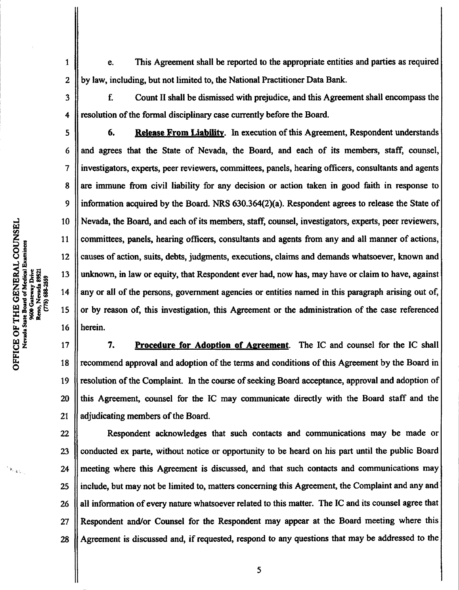e. This Agreement shall be reported to the appropriate entities and parties as required by law, including, but not limited to, the National Practitioner Data Bank. 1 2

f. Count II shall be dismissed with prejudice, and this Agreement shall encompass the resolution of the formal disciplinary case currently before the Board.

6. Release From Liability. In execution of this Agreement, Respondent understands and agrees that the State of Nevada, the Board, and each of its members, staff, counsel, investigators, experts, peerreviewers, committees, panels, hearing officers, consultants and agents are immune from civil liability for any decision or action taken in good faith in response to information acquired by the Board. NRS  $630.364(2)(a)$ . Respondent agrees to release the State of Nevada, the Board, and each of its members, staff, counsel, investigators, experts, peer reviewers, committees, panels, hearing officers, consultants and agents from any and all manner of actions, causes of action, suits, debts, judgments, executions, claims and demands whatsoever, known and unknown, in law or equity, that Respondent ever had, now has, may have or claim to have, against any or all of the persons, government agencies or entities named in this paragraph arising out of, or by reason of, this investigation, this Agreement or the administration of the case referenced herein.

7. Procedure for Adoption of Agreement. The IC and counsel for the IC shall recommend approval and adoption of the terms and conditions of this Agreement by the Board in resolution of the Complaint. In the course of seeking Board acceptance, approval and adoption of this Agreement, counsel for the IC may communicate directly with the Board staff and the adjudicating members of the Board. 17 18 19 20 21

Respondent acknowledges that such contacts and communications may be made or conducted ex parte, without notice or opportunity to be heard on his part until the public Board meeting where this Agreement is discussed, and that such contacts and communications may include, but may not be limited to, matters concerning this Agreement, the Complaint and any and all information of every nature whatsoever related to this matter. The IC and its counsel agree that Respondent and/or Counsel for the Respondent may appear at the Board meeting where this Agreement is discussed and, if requested, respond to any questions that may be addressed to the 22 23 24 25 26 27 28

 $\mathbf{F}$ O

 $\mathcal{F}_{\mathcal{A},\mathcal{V}}$ 

မ္ဘ

3

4

5

6

7

8

9

10

11

12

13

14

15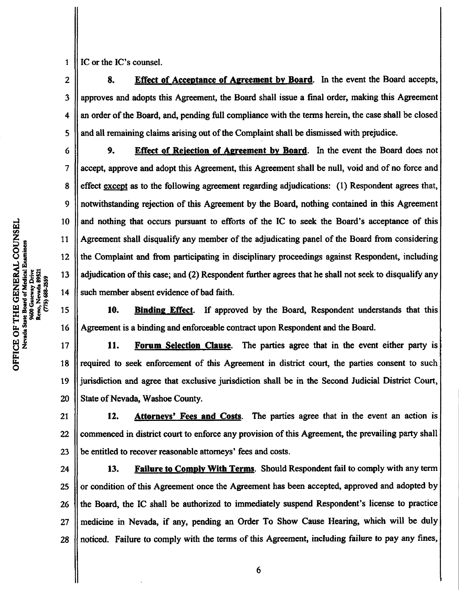leno, Nevada 8952 (775) 688-2559 **OF**<br>Cagas

E<br>O

IC or the IC's counsel. 1

2

3

4

5

6

7

8

9

10

11

12

13

14

15

16

8. Effect of Acceptance of Agreement by Board. In the event the Board accepts, approves and adopts this Agreement, the Board shall issue a final order, making this Agreement an order of the Board, and, pending full compliance with the terms herein, the case shall be closed and all remaining claims arising out of the Complaint shall be dismissed with prejudice.

9. Effect of Rejection of Agreement by Board. In the event the Board does not accept, approve and adopt this Agreement, this Agreement shall be null, void and of no force and effect except as to the following agreement regarding adjudications: (1) Respondent agrees that, notwithstanding rejection of this Agreement by the Board, nothing contained in this Agreement and nothing that occurs pursuant to efforts of the IC to seek the Board's acceptance of this Agreement shall disqualify any member of the adjudicating panel of the Board from considering the Complaint and from participating in disciplinary proceedings against Respondent, including adjudication of this case; and (2) Respondent further agrees that he shall not seek to disqualify any such member absent evidence of bad faith.

10. Binding Effect. If approved by the Board, Respondent understands that this Agreement is a binding and enforceable contract upon Respondent and the Board.

11. Forum Selection Clause. The parties agree that in the event either party is required to seek enforcement of this Agreement in district court, the parties consent to such jurisdiction and agree that exclusive jurisdiction shall be in the Second Judicial District Court, State of Nevada, Washoe County. 17 18 19 20

12. Attorneys' Fees and Costs. The parties agree that in the event an action is commenced in district court to enforce any provision of this Agreement, the prevailing party shall be entitled to recover reasonable attorneys' fees and costs. 21 22 23

13. Failure to Comply With Terms. Should Respondent fail to comply with any term or condition of this Agreement once the Agreement has been accepted, approved and adopted by the Board, the IC shall be authorized to immediately suspend Respondent's license to practice medicine in Nevada, if any, pending an Order To Show Cause Hearing, which will be duly noticed. Failure to comply with the terms of this Agreement, including failure to pay any fines, 24 25 26 27 28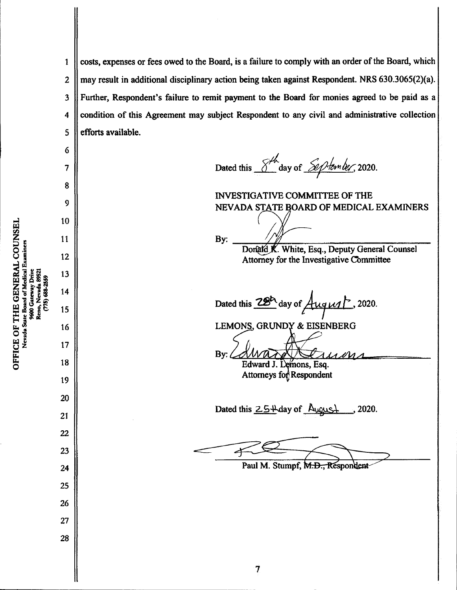costs, expenses or fees owed to the Board, is a failure to comply with an order of the Board, which may result in additional disciplinary action being taken against Respondent. NRS 630.3065(2)(a). Further, Respondent's failure to remit payment to the Board for monies agreed to be paid as a condition of this Agreement may subject Respondent to any civil and administrative collection efforts available. 1 2 3 4 5

By:

Dated this  $8\frac{h}{\sqrt{2}}$  day of  $8$  p tem ber, 2020.

INVESTIGATIVE COMMITTEE OF THE NEVADA STATE BOARD OF MEDICAL EXAMINERS

Donald K. White, Esq., Deputy General Counsel Attorney for the Investigative Committee

y of August 2020. Dated this

LEMONS, GRUNDY & EISENBERG

By:  $\ell$ Edward J. Lemons, Esq. Attorneys for Respondent

Dated this  $2.5+$  day of  $\Delta$ ugus $+$  , 2020.

Paul M. Stumpf, M.D., Respondent

UNSE<br>er U<br>CO<br>3sanaid<br>3san lical. (775) 688-2559 leno, Nevada W E OF<br>cvada S **TCE**<br>Nevad

6

7

8

9

10

11

12

13

14

15

16

17

18

19

20

21

22

23

24

25

26

27

7